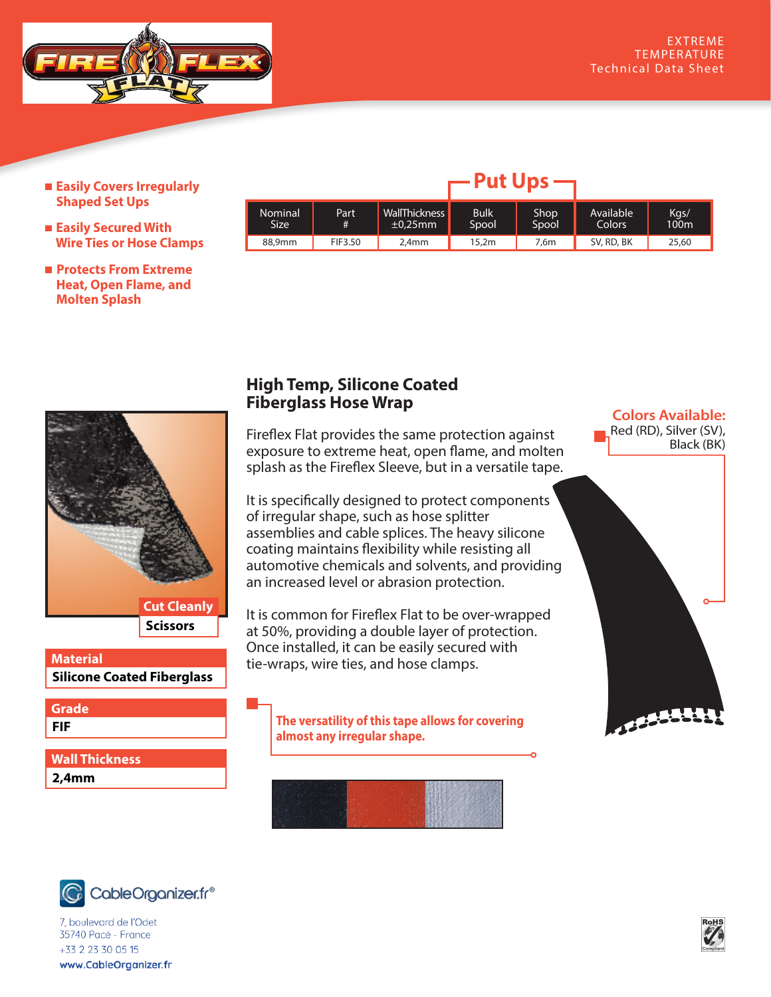

- **Easily Covers Irregularly Shaped Set Ups**
- **Easily Secured With Wire Ties or Hose Clamps**
- **Protects From Extreme Heat, Open Flame, and Molten Splash**

|                 |           |                                | .                    |               |                     |                          |
|-----------------|-----------|--------------------------------|----------------------|---------------|---------------------|--------------------------|
| Nominal<br>Size | Part<br># | WallThickness<br>$\pm 0.25$ mm | <b>Bulk</b><br>Spool | Shop<br>Spool | Available<br>Colors | Kgs/<br>100 <sub>m</sub> |
| 88,9mm          | FIF3.50   | 2.4mm                          | 15,2m                | 7.6m          | SV, RD, BK          | 25,60                    |

**Put Ups**



## **Silicone Coated Fiberglass Material**

**FIF Grade**

**2,4mm Wall Thickness**

## **High Temp, Silicone Coated Fiberglass Hose Wrap**

Fireflex Flat provides the same protection against exposure to extreme heat, open flame, and molten splash as the Fireflex Sleeve, but in a versatile tape.

It is specifically designed to protect components of irregular shape, such as hose splitter assemblies and cable splices. The heavy silicone coating maintains flexibility while resisting all automotive chemicals and solvents, and providing an increased level or abrasion protection.

It is common for Fireflex Flat to be over-wrapped at 50%, providing a double layer of protection. Once installed, it can be easily secured with tie-wraps, wire ties, and hose clamps.

**The versatility of this tape allows for covering almost any irregular shape.**







*i*, boulevard de l'Odet<br>35740 Pacé - France  $+33$  2 23 30 05 15 www.CableOrganizer.fr